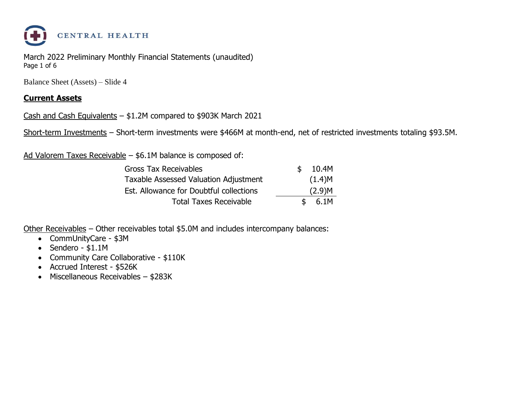

March 2022 Preliminary Monthly Financial Statements (unaudited) Page 1 of 6

Balance Sheet (Assets) – Slide 4

#### **Current Assets**

Cash and Cash Equivalents – \$1.2M compared to \$903K March 2021

Short-term Investments – Short-term investments were \$466M at month-end, net of restricted investments totaling \$93.5M.

Ad Valorem Taxes Receivable – \$6.1M balance is composed of:

| <b>Gross Tax Receivables</b>            | \$  | 10.4M  |
|-----------------------------------------|-----|--------|
| Taxable Assessed Valuation Adjustment   |     | (1.4)M |
| Est. Allowance for Doubtful collections |     | (2.9)M |
| <b>Total Taxes Receivable</b>           | -SF | 6.1M   |

Other Receivables – Other receivables total \$5.0M and includes intercompany balances:

- CommUnityCare \$3M
- Sendero \$1.1M
- Community Care Collaborative \$110K
- Accrued Interest \$526K
- Miscellaneous Receivables \$283K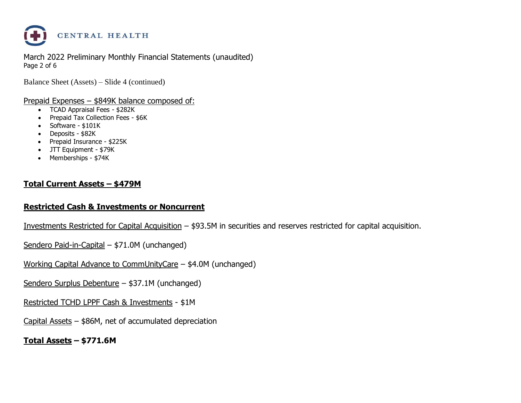

March 2022 Preliminary Monthly Financial Statements (unaudited) Page 2 of 6

Balance Sheet (Assets) – Slide 4 (continued)

#### Prepaid Expenses – \$849K balance composed of:

- TCAD Appraisal Fees \$282K
- Prepaid Tax Collection Fees \$6K
- Software \$101K
- Deposits \$82K
- Prepaid Insurance \$225K
- JTT Equipment \$79K
- Memberships \$74K

#### **Total Current Assets – \$479M**

#### **Restricted Cash & Investments or Noncurrent**

Investments Restricted for Capital Acquisition – \$93.5M in securities and reserves restricted for capital acquisition.

- Sendero Paid-in-Capital \$71.0M (unchanged)
- Working Capital Advance to CommUnityCare \$4.0M (unchanged)
- Sendero Surplus Debenture \$37.1M (unchanged)
- Restricted TCHD LPPF Cash & Investments \$1M
- Capital Assets \$86M, net of accumulated depreciation

**Total Assets – \$771.6M**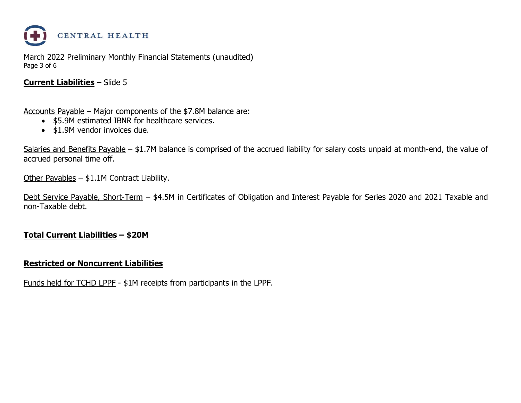

March 2022 Preliminary Monthly Financial Statements (unaudited) Page 3 of 6

#### **Current Liabilities** – Slide 5

Accounts Payable – Major components of the \$7.8M balance are:

- \$5.9M estimated IBNR for healthcare services.
- \$1.9M vendor invoices due.

Salaries and Benefits Payable – \$1.7M balance is comprised of the accrued liability for salary costs unpaid at month-end, the value of accrued personal time off.

Other Payables – \$1.1M Contract Liability.

Debt Service Payable, Short-Term – \$4.5M in Certificates of Obligation and Interest Payable for Series 2020 and 2021 Taxable and non-Taxable debt.

#### **Total Current Liabilities – \$20M**

#### **Restricted or Noncurrent Liabilities**

Funds held for TCHD LPPF - \$1M receipts from participants in the LPPF.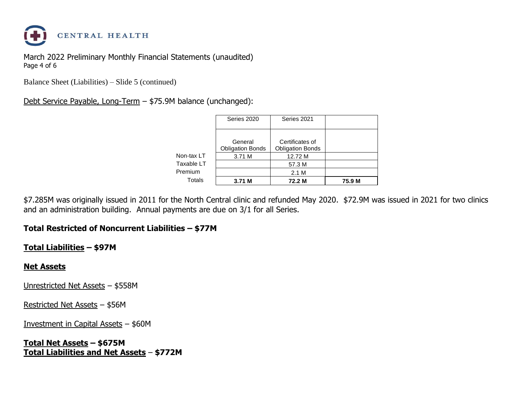

March 2022 Preliminary Monthly Financial Statements (unaudited) Page 4 of 6

Balance Sheet (Liabilities) – Slide 5 (continued)

#### Debt Service Payable, Long-Term – \$75.9M balance (unchanged):

|                         | 57.3 M<br>2.1 M         |                                |
|-------------------------|-------------------------|--------------------------------|
|                         |                         |                                |
|                         |                         |                                |
| 3.71 M                  | 12.72 M                 |                                |
| <b>Obligation Bonds</b> | <b>Obligation Bonds</b> |                                |
|                         |                         |                                |
|                         |                         |                                |
|                         | Series 2020<br>General  | Series 2021<br>Certificates of |

\$7.285M was originally issued in 2011 for the North Central clinic and refunded May 2020. \$72.9M was issued in 2021 for two clinics and an administration building. Annual payments are due on 3/1 for all Series.

#### **Total Restricted of Noncurrent Liabilities – \$77M**

#### **Total Liabilities – \$97M**

#### **Net Assets**

Unrestricted Net Assets – \$558M

Restricted Net Assets – \$56M

Investment in Capital Assets – \$60M

**Total Net Assets – \$675M Total Liabilities and Net Assets** – **\$772M**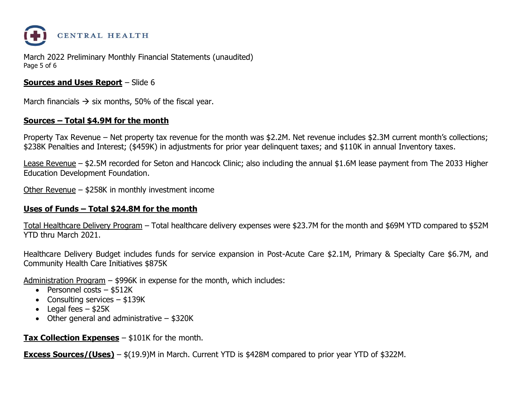

March 2022 Preliminary Monthly Financial Statements (unaudited) Page 5 of 6

#### **Sources and Uses Report** – Slide 6

March financials  $\rightarrow$  six months, 50% of the fiscal year.

#### **Sources – Total \$4.9M for the month**

Property Tax Revenue – Net property tax revenue for the month was \$2.2M. Net revenue includes \$2.3M current month's collections; \$238K Penalties and Interest; (\$459K) in adjustments for prior year delinquent taxes; and \$110K in annual Inventory taxes.

Lease Revenue – \$2.5M recorded for Seton and Hancock Clinic; also including the annual \$1.6M lease payment from The 2033 Higher Education Development Foundation.

Other Revenue – \$258K in monthly investment income

#### **Uses of Funds – Total \$24.8M for the month**

Total Healthcare Delivery Program – Total healthcare delivery expenses were \$23.7M for the month and \$69M YTD compared to \$52M YTD thru March 2021.

Healthcare Delivery Budget includes funds for service expansion in Post-Acute Care \$2.1M, Primary & Specialty Care \$6.7M, and Community Health Care Initiatives \$875K

Administration Program – \$996K in expense for the month, which includes:

- Personnel costs \$512K
- Consulting services \$139K
- Legal fees  $-$  \$25K
- Other general and administrative \$320K

**Tax Collection Expenses** – \$101K for the month.

**Excess Sources/(Uses)** – \$(19.9)M in March. Current YTD is \$428M compared to prior year YTD of \$322M.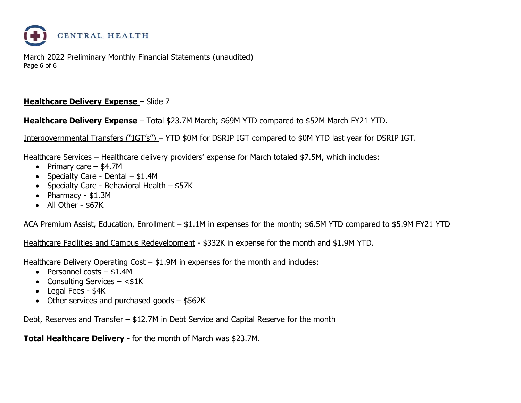

March 2022 Preliminary Monthly Financial Statements (unaudited) Page 6 of 6

#### **Healthcare Delivery Expense** – Slide 7

**Healthcare Delivery Expense** – Total \$23.7M March; \$69M YTD compared to \$52M March FY21 YTD.

Intergovernmental Transfers ("IGT's") – YTD \$0M for DSRIP IGT compared to \$0M YTD last year for DSRIP IGT.

Healthcare Services – Healthcare delivery providers' expense for March totaled \$7.5M, which includes:

- Primary care \$4.7M
- Specialty Care Dental \$1.4M
- Specialty Care Behavioral Health \$57K
- Pharmacy \$1.3M
- All Other \$67K

ACA Premium Assist, Education, Enrollment – \$1.1M in expenses for the month; \$6.5M YTD compared to \$5.9M FY21 YTD

Healthcare Facilities and Campus Redevelopment - \$332K in expense for the month and \$1.9M YTD.

Healthcare Delivery Operating Cost – \$1.9M in expenses for the month and includes:

- Personnel costs \$1.4M
- Consulting Services  $-$  <\$1K
- Legal Fees \$4K
- Other services and purchased goods \$562K

Debt, Reserves and Transfer – \$12.7M in Debt Service and Capital Reserve for the month

**Total Healthcare Delivery** - for the month of March was \$23.7M.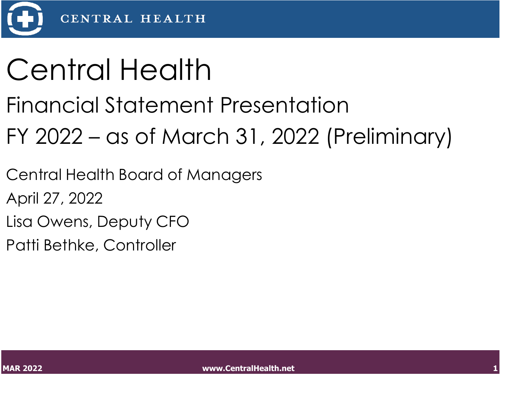

## Central Health

### Financial Statement Presentation

## FY 2022 – as of March 31, 2022 (Preliminary)

Central Health Board of Managers

April 27, 2022

Lisa Owens, Deputy CFO

Patti Bethke, Controller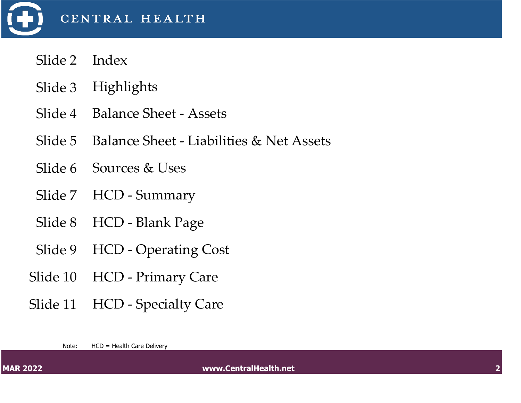

- Slide 2 Index
- Slide 3 Highlights
- Slide 4 Balance Sheet Assets
- Slide 5 Balance Sheet Liabilities & Net Assets
- Slide 6 Sources & Uses
- Slide 7 HCD Summary
- Slide 8 HCD Blank Page
- Slide 9 HCD Operating Cost
- Slide 10 HCD Primary Care
- Slide 11 HCD Specialty Care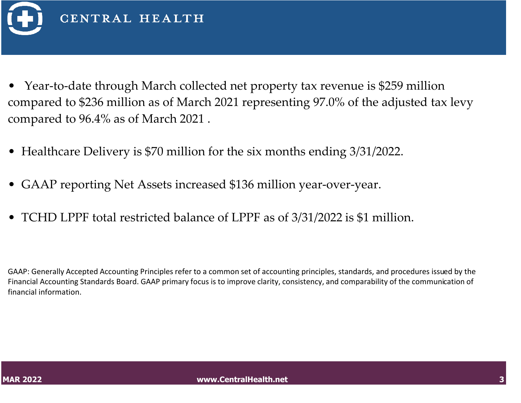

- Year-to-date through March collected net property tax revenue is \$259 million compared to \$236 million as of March 2021 representing 97.0% of the adjusted tax levy compared to 96.4% as of March 2021 .
- Healthcare Delivery is \$70 million for the six months ending 3/31/2022.
- GAAP reporting Net Assets increased \$136 million year-over-year.
- TCHD LPPF total restricted balance of LPPF as of 3/31/2022 is \$1 million.

GAAP: Generally Accepted Accounting Principles refer to a common set of accounting principles, standards, and procedures issued by the Financial Accounting Standards Board. GAAP primary focus is to improve clarity, consistency, and comparability of the communication of financial information.

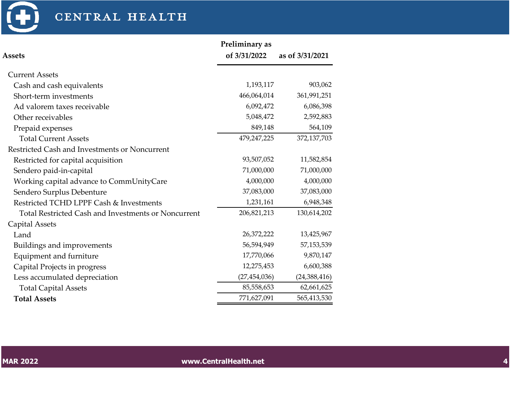

### CENTRAL HEALTH

|                                                            | Preliminary as |                 |
|------------------------------------------------------------|----------------|-----------------|
| <b>Assets</b>                                              | of 3/31/2022   | as of 3/31/2021 |
| <b>Current Assets</b>                                      |                |                 |
| Cash and cash equivalents                                  | 1,193,117      | 903,062         |
| Short-term investments                                     | 466,064,014    | 361,991,251     |
| Ad valorem taxes receivable                                | 6,092,472      | 6,086,398       |
| Other receivables                                          | 5,048,472      | 2,592,883       |
| Prepaid expenses                                           | 849,148        | 564,109         |
| <b>Total Current Assets</b>                                | 479,247,225    | 372,137,703     |
| Restricted Cash and Investments or Noncurrent              |                |                 |
| Restricted for capital acquisition                         | 93,507,052     | 11,582,854      |
| Sendero paid-in-capital                                    | 71,000,000     | 71,000,000      |
| Working capital advance to CommUnityCare                   | 4,000,000      | 4,000,000       |
| Sendero Surplus Debenture                                  | 37,083,000     | 37,083,000      |
| Restricted TCHD LPPF Cash & Investments                    | 1,231,161      | 6,948,348       |
| <b>Total Restricted Cash and Investments or Noncurrent</b> | 206,821,213    | 130,614,202     |
| Capital Assets                                             |                |                 |
| Land                                                       | 26,372,222     | 13,425,967      |
| Buildings and improvements                                 | 56,594,949     | 57,153,539      |
| Equipment and furniture                                    | 17,770,066     | 9,870,147       |
| Capital Projects in progress                               | 12,275,453     | 6,600,388       |
| Less accumulated depreciation                              | (27, 454, 036) | (24,388,416)    |
| <b>Total Capital Assets</b>                                | 85,558,653     | 62,661,625      |
| <b>Total Assets</b>                                        | 771,627,091    | 565,413,530     |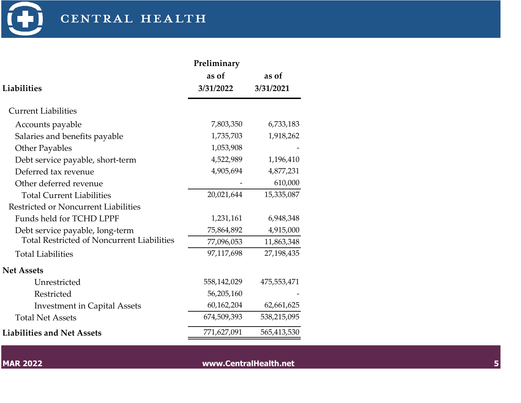

|                                                   | Preliminary |             |
|---------------------------------------------------|-------------|-------------|
|                                                   | as of       | as of       |
| Liabilities                                       | 3/31/2022   | 3/31/2021   |
| <b>Current Liabilities</b>                        |             |             |
| Accounts payable                                  | 7,803,350   | 6,733,183   |
| Salaries and benefits payable                     | 1,735,703   | 1,918,262   |
| <b>Other Payables</b>                             | 1,053,908   |             |
| Debt service payable, short-term                  | 4,522,989   | 1,196,410   |
| Deferred tax revenue                              | 4,905,694   | 4,877,231   |
| Other deferred revenue                            |             | 610,000     |
| <b>Total Current Liabilities</b>                  | 20,021,644  | 15,335,087  |
| <b>Restricted or Noncurrent Liabilities</b>       |             |             |
| Funds held for TCHD LPPF                          | 1,231,161   | 6,948,348   |
| Debt service payable, long-term                   | 75,864,892  | 4,915,000   |
| <b>Total Restricted of Noncurrent Liabilities</b> | 77,096,053  | 11,863,348  |
| <b>Total Liabilities</b>                          | 97,117,698  | 27,198,435  |
| <b>Net Assets</b>                                 |             |             |
| Unrestricted                                      | 558,142,029 | 475,553,471 |
| Restricted                                        | 56,205,160  |             |
| <b>Investment in Capital Assets</b>               | 60,162,204  | 62,661,625  |
| <b>Total Net Assets</b>                           | 674,509,393 | 538,215,095 |
| <b>Liabilities and Net Assets</b>                 | 771,627,091 | 565,413,530 |

**MAR 2022 www.CentralHealth.net 5 MAR 2022 5**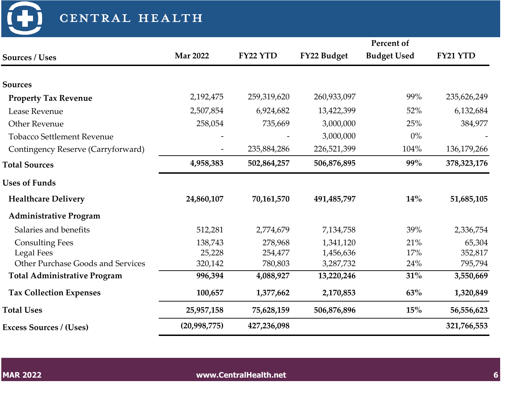| CENTRAL HEALTH                      |                 |             |             |                    |               |
|-------------------------------------|-----------------|-------------|-------------|--------------------|---------------|
|                                     |                 |             |             | Percent of         |               |
| <b>Sources / Uses</b>               | <b>Mar 2022</b> | FY22 YTD    | FY22 Budget | <b>Budget Used</b> | FY21 YTD      |
| <b>Sources</b>                      |                 |             |             |                    |               |
| <b>Property Tax Revenue</b>         | 2,192,475       | 259,319,620 | 260,933,097 | 99%                | 235,626,249   |
| Lease Revenue                       | 2,507,854       | 6,924,682   | 13,422,399  | 52%                | 6,132,684     |
| <b>Other Revenue</b>                | 258,054         | 735,669     | 3,000,000   | 25%                | 384,977       |
| <b>Tobacco Settlement Revenue</b>   |                 |             | 3,000,000   | $0\%$              |               |
| Contingency Reserve (Carryforward)  |                 | 235,884,286 | 226,521,399 | 104%               | 136,179,266   |
| <b>Total Sources</b>                | 4,958,383       | 502,864,257 | 506,876,895 | 99%                | 378, 323, 176 |
| <b>Uses of Funds</b>                |                 |             |             |                    |               |
| <b>Healthcare Delivery</b>          | 24,860,107      | 70,161,570  | 491,485,797 | 14%                | 51,685,105    |
| <b>Administrative Program</b>       |                 |             |             |                    |               |
| Salaries and benefits               | 512,281         | 2,774,679   | 7,134,758   | 39%                | 2,336,754     |
| <b>Consulting Fees</b>              | 138,743         | 278,968     | 1,341,120   | 21%                | 65,304        |
| <b>Legal Fees</b>                   | 25,228          | 254,477     | 1,456,636   | 17%                | 352,817       |
| Other Purchase Goods and Services   | 320,142         | 780,803     | 3,287,732   | 24%                | 795,794       |
| <b>Total Administrative Program</b> | 996,394         | 4,088,927   | 13,220,246  | 31%                | 3,550,669     |
| <b>Tax Collection Expenses</b>      | 100,657         | 1,377,662   | 2,170,853   | 63%                | 1,320,849     |
| <b>Total Uses</b>                   | 25,957,158      | 75,628,159  | 506,876,896 | 15%                | 56,556,623    |
| <b>Excess Sources / (Uses)</b>      | (20,998,775)    | 427,236,098 |             |                    | 321,766,553   |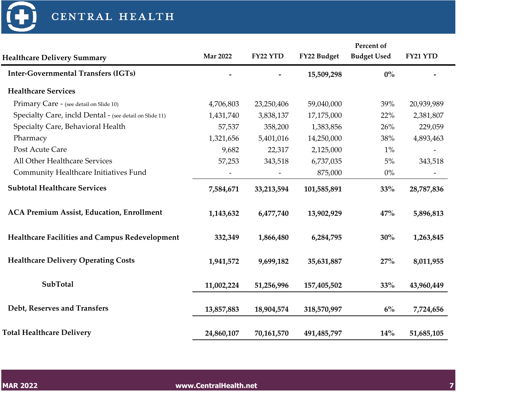

|                                                         |                 |            |             | Percent of         |            |  |
|---------------------------------------------------------|-----------------|------------|-------------|--------------------|------------|--|
| <b>Healthcare Delivery Summary</b>                      | <b>Mar 2022</b> | FY22 YTD   | FY22 Budget | <b>Budget Used</b> | FY21 YTD   |  |
| <b>Inter-Governmental Transfers (IGTs)</b>              |                 |            | 15,509,298  | $0\%$              |            |  |
| <b>Healthcare Services</b>                              |                 |            |             |                    |            |  |
| Primary Care - (see detail on Slide 10)                 | 4,706,803       | 23,250,406 | 59,040,000  | 39%                | 20,939,989 |  |
| Specialty Care, incld Dental - (see detail on Slide 11) | 1,431,740       | 3,838,137  | 17,175,000  | 22%                | 2,381,807  |  |
| Specialty Care, Behavioral Health                       | 57,537          | 358,200    | 1,383,856   | 26%                | 229,059    |  |
| Pharmacy                                                | 1,321,656       | 5,401,016  | 14,250,000  | 38%                | 4,893,463  |  |
| Post Acute Care                                         | 9,682           | 22,317     | 2,125,000   | $1\%$              |            |  |
| All Other Healthcare Services                           | 57,253          | 343,518    | 6,737,035   | $5\%$              | 343,518    |  |
| Community Healthcare Initiatives Fund                   |                 |            | 875,000     | $0\%$              |            |  |
| <b>Subtotal Healthcare Services</b>                     | 7,584,671       | 33,213,594 | 101,585,891 | 33%                | 28,787,836 |  |
| <b>ACA Premium Assist, Education, Enrollment</b>        | 1,143,632       | 6,477,740  | 13,902,929  | 47%                | 5,896,813  |  |
| Healthcare Facilities and Campus Redevelopment          | 332,349         | 1,866,480  | 6,284,795   | 30%                | 1,263,845  |  |
| <b>Healthcare Delivery Operating Costs</b>              | 1,941,572       | 9,699,182  | 35,631,887  | 27%                | 8,011,955  |  |
| <b>SubTotal</b>                                         | 11,002,224      | 51,256,996 | 157,405,502 | 33%                | 43,960,449 |  |
| Debt, Reserves and Transfers                            | 13,857,883      | 18,904,574 | 318,570,997 | 6%                 | 7,724,656  |  |
| <b>Total Healthcare Delivery</b>                        | 24,860,107      | 70,161,570 | 491,485,797 | 14%                | 51,685,105 |  |
|                                                         |                 |            |             |                    |            |  |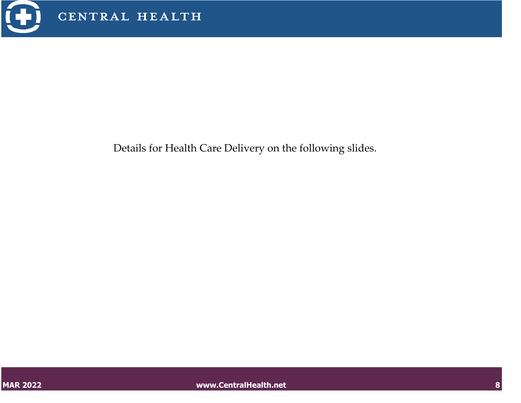

Details for Health Care Delivery on the following slides.

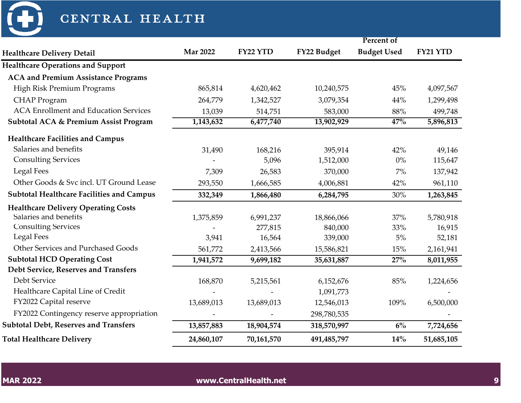

| CENTRAL HEALTH                                   |                              |            |             |                    |            |
|--------------------------------------------------|------------------------------|------------|-------------|--------------------|------------|
|                                                  |                              |            |             | Percent of         |            |
| <b>Healthcare Delivery Detail</b>                | <b>Mar 2022</b>              | FY22 YTD   | FY22 Budget | <b>Budget Used</b> | FY21 YTD   |
| <b>Healthcare Operations and Support</b>         |                              |            |             |                    |            |
| <b>ACA and Premium Assistance Programs</b>       |                              |            |             |                    |            |
| High Risk Premium Programs                       | 865,814                      | 4,620,462  | 10,240,575  | 45%                | 4,097,567  |
| <b>CHAP</b> Program                              | 264,779                      | 1,342,527  | 3,079,354   | 44%                | 1,299,498  |
| <b>ACA Enrollment and Education Services</b>     | 13,039                       | 514,751    | 583,000     | 88%                | 499,748    |
| <b>Subtotal ACA &amp; Premium Assist Program</b> | 1,143,632                    | 6,477,740  | 13,902,929  | 47%                | 5,896,813  |
| <b>Healthcare Facilities and Campus</b>          |                              |            |             |                    |            |
| Salaries and benefits                            | 31,490                       | 168,216    | 395,914     | 42%                | 49,146     |
| <b>Consulting Services</b>                       |                              | 5,096      | 1,512,000   | $0\%$              | 115,647    |
| <b>Legal Fees</b>                                | 7,309                        | 26,583     | 370,000     | $7\%$              | 137,942    |
| Other Goods & Svc incl. UT Ground Lease          | 293,550                      | 1,666,585  | 4,006,881   | 42%                | 961,110    |
| <b>Subtotal Healthcare Facilities and Campus</b> | 332,349                      | 1,866,480  | 6,284,795   | 30%                | 1,263,845  |
| <b>Healthcare Delivery Operating Costs</b>       |                              |            |             |                    |            |
| Salaries and benefits                            | 1,375,859                    | 6,991,237  | 18,866,066  | 37%                | 5,780,918  |
| <b>Consulting Services</b>                       |                              | 277,815    | 840,000     | 33%                | 16,915     |
| <b>Legal Fees</b>                                | 3,941                        | 16,564     | 339,000     | 5%                 | 52,181     |
| Other Services and Purchased Goods               | 561,772                      | 2,413,566  | 15,586,821  | 15%                | 2,161,941  |
| <b>Subtotal HCD Operating Cost</b>               | 1,941,572                    | 9,699,182  | 35,631,887  | 27%                | 8,011,955  |
| Debt Service, Reserves and Transfers             |                              |            |             |                    |            |
| Debt Service                                     | 168,870                      | 5,215,561  | 6,152,676   | 85%                | 1,224,656  |
| Healthcare Capital Line of Credit                | $\qquad \qquad \blacksquare$ |            | 1,091,773   |                    |            |
| FY2022 Capital reserve                           | 13,689,013                   | 13,689,013 | 12,546,013  | 109%               | 6,500,000  |
| FY2022 Contingency reserve appropriation         |                              |            | 298,780,535 |                    |            |
| <b>Subtotal Debt, Reserves and Transfers</b>     | 13,857,883                   | 18,904,574 | 318,570,997 | 6%                 | 7,724,656  |
| <b>Total Healthcare Delivery</b>                 | 24,860,107                   | 70,161,570 | 491,485,797 | 14%                | 51,685,105 |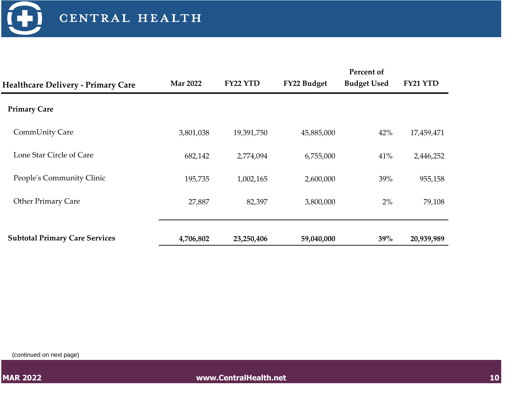

| <b>Healthcare Delivery - Primary Care</b> | <b>Mar 2022</b> | FY22 YTD   | FY22 Budget | Percent of<br><b>Budget Used</b> | FY21 YTD   |
|-------------------------------------------|-----------------|------------|-------------|----------------------------------|------------|
| <b>Primary Care</b>                       |                 |            |             |                                  |            |
| CommUnity Care                            | 3,801,038       | 19,391,750 | 45,885,000  | 42%                              | 17,459,471 |
| Lone Star Circle of Care                  | 682,142         | 2,774,094  | 6,755,000   | 41%                              | 2,446,252  |
| People's Community Clinic                 | 195,735         | 1,002,165  | 2,600,000   | 39%                              | 955,158    |
| <b>Other Primary Care</b>                 | 27,887          | 82,397     | 3,800,000   | $2\%$                            | 79,108     |
|                                           |                 |            |             |                                  |            |
| <b>Subtotal Primary Care Services</b>     | 4,706,802       | 23,250,406 | 59,040,000  | 39%                              | 20,939,989 |

(continued on next page)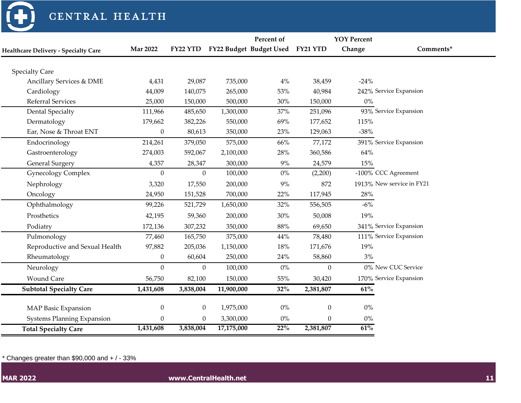

#### CENTRAL HEALTH

|                                             |                  |                  |            | Percent of              |                  | <b>YOY Percent</b> |                           |
|---------------------------------------------|------------------|------------------|------------|-------------------------|------------------|--------------------|---------------------------|
| <b>Healthcare Delivery - Specialty Care</b> | <b>Mar 2022</b>  | FY22 YTD         |            | FY22 Budget Budget Used | FY21 YTD         | Change             | Comments*                 |
|                                             |                  |                  |            |                         |                  |                    |                           |
| <b>Specialty Care</b>                       |                  |                  |            |                         |                  |                    |                           |
| Ancillary Services & DME                    | 4,431            | 29,087           | 735,000    | $4\%$                   | 38,459           | $-24%$             |                           |
| Cardiology                                  | 44,009           | 140,075          | 265,000    | 53%                     | 40,984           |                    | 242% Service Expansion    |
| <b>Referral Services</b>                    | 25,000           | 150,000          | 500,000    | 30%                     | 150,000          | $0\%$              |                           |
| <b>Dental Specialty</b>                     | 111,966          | 485,650          | 1,300,000  | 37%                     | 251,096          |                    | 93% Service Expansion     |
| Dermatology                                 | 179,662          | 382,226          | 550,000    | 69%                     | 177,652          | 115%               |                           |
| Ear, Nose & Throat ENT                      | $\boldsymbol{0}$ | 80,613           | 350,000    | 23%                     | 129,063          | $-38%$             |                           |
| Endocrinology                               | 214,261          | 379,050          | 575,000    | 66%                     | 77,172           |                    | 391% Service Expansion    |
| Gastroenterology                            | 274,003          | 592,067          | 2,100,000  | 28%                     | 360,586          | 64%                |                           |
| <b>General Surgery</b>                      | 4,357            | 28,347           | 300,000    | $9\%$                   | 24,579           | 15%                |                           |
| <b>Gynecology Complex</b>                   | $\boldsymbol{0}$ | $\Omega$         | 100,000    | $0\%$                   | (2,200)          |                    | -100% CCC Agreement       |
| Nephrology                                  | 3,320            | 17,550           | 200,000    | 9%                      | 872              |                    | 1913% New service in FY21 |
| Oncology                                    | 24,950           | 151,528          | 700,000    | 22%                     | 117,945          | 28%                |                           |
| Ophthalmology                               | 99,226           | 521,729          | 1,650,000  | 32%                     | 556,505          | $-6\%$             |                           |
| Prosthetics                                 | 42,195           | 59,360           | 200,000    | $30\%$                  | 50,008           | 19%                |                           |
| Podiatry                                    | 172,136          | 307,232          | 350,000    | 88%                     | 69,650           |                    | 341% Service Expansion    |
| Pulmonology                                 | 77,460           | 165,750          | 375,000    | 44%                     | 78,480           |                    | 111% Service Expansion    |
| Reproductive and Sexual Health              | 97,882           | 205,036          | 1,150,000  | 18%                     | 171,676          | 19%                |                           |
| Rheumatology                                | $\boldsymbol{0}$ | 60,604           | 250,000    | 24%                     | 58,860           | 3%                 |                           |
| Neurology                                   | $\mathbf{0}$     | $\overline{0}$   | 100,000    | $0\%$                   | $\mathbf{0}$     |                    | 0% New CUC Service        |
| <b>Wound Care</b>                           | 56,750           | 82,100           | 150,000    | $55\%$                  | 30,420           |                    | 170% Service Expansion    |
| <b>Subtotal Specialty Care</b>              | 1,431,608        | 3,838,004        | 11,900,000 | 32%                     | 2,381,807        | $61\%$             |                           |
|                                             |                  |                  |            |                         |                  |                    |                           |
| <b>MAP Basic Expansion</b>                  | $\boldsymbol{0}$ | $\boldsymbol{0}$ | 1,975,000  | $0\%$                   | $\boldsymbol{0}$ | $0\%$              |                           |
| <b>Systems Planning Expansion</b>           | $\boldsymbol{0}$ | $\boldsymbol{0}$ | 3,300,000  | $0\%$                   | $\mathbf{0}$     | $0\%$              |                           |
| <b>Total Specialty Care</b>                 | 1,431,608        | 3,838,004        | 17,175,000 | 22%                     | 2,381,807        | 61%                |                           |

 $*$  Changes greater than \$90,000 and  $+$  / - 33%